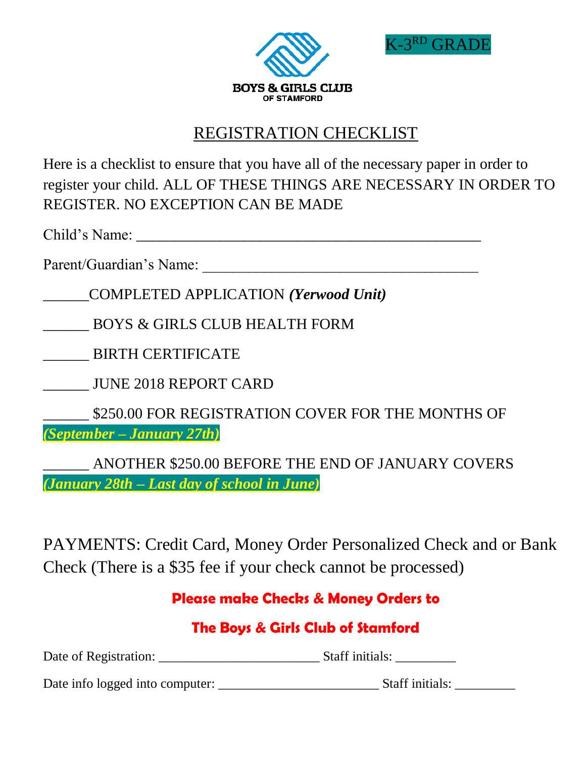



# REGISTRATION CHECKLIST

Here is a checklist to ensure that you have all of the necessary paper in order to register your child. ALL OF THESE THINGS ARE NECESSARY IN ORDER TO REGISTER. NO EXCEPTION CAN BE MADE

Child's Name: \_\_\_\_\_\_\_\_\_\_\_\_\_\_\_\_\_\_\_\_\_\_\_\_\_\_\_\_\_\_\_\_\_\_\_\_\_\_\_\_\_\_\_\_\_

Parent/Guardian's Name:

\_\_\_\_\_\_COMPLETED APPLICATION *(Yerwood Unit)*

\_\_\_\_\_\_ BOYS & GIRLS CLUB HEALTH FORM

\_\_\_\_\_\_ BIRTH CERTIFICATE

\_\_\_\_\_\_ JUNE 2018 REPORT CARD

\_\_\_\_\_\_ \$250.00 FOR REGISTRATION COVER FOR THE MONTHS OF *(September – January 27th)*

\_\_\_\_\_\_ ANOTHER \$250.00 BEFORE THE END OF JANUARY COVERS *(January 28th – Last day of school in June)*

PAYMENTS: Credit Card, Money Order Personalized Check and or Bank Check (There is a \$35 fee if your check cannot be processed)

## **Please make Checks & Money Orders to**

# **The Boys & Girls Club of Stamford**

Date of Registration: \_\_\_\_\_\_\_\_\_\_\_\_\_\_\_\_\_\_\_\_\_\_\_\_ Staff initials: \_\_\_\_\_\_\_\_\_

Date info logged into computer: \_\_\_\_\_\_\_\_\_\_\_\_\_\_\_\_\_\_\_\_\_\_\_\_ Staff initials: \_\_\_\_\_\_\_\_\_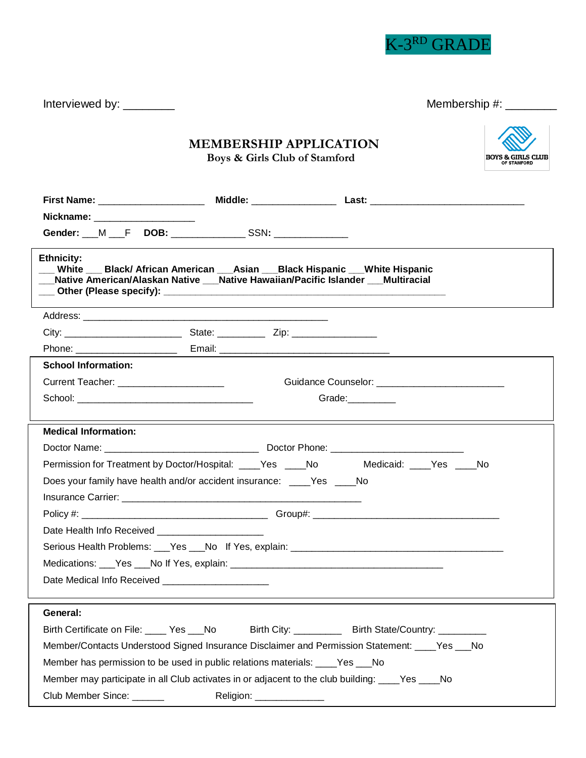

Interviewed by: \_\_\_\_\_\_\_\_ Membership #: \_\_\_\_\_\_\_\_

|                                                                               | <b>BOYS &amp; GIRLS CLUB</b><br>OF STAMFORD |                                                                                                                                                                       |  |
|-------------------------------------------------------------------------------|---------------------------------------------|-----------------------------------------------------------------------------------------------------------------------------------------------------------------------|--|
| First Name: ____________________                                              |                                             |                                                                                                                                                                       |  |
| Nickname: ___________________                                                 |                                             |                                                                                                                                                                       |  |
| Gender: M F DOB: SSN:                                                         |                                             |                                                                                                                                                                       |  |
| <b>Ethnicity:</b>                                                             |                                             | White ___ Black/ African American ___ Asian ___ Black Hispanic ___ White Hispanic<br>Native American/Alaskan Native __Native Hawaiian/Pacific Islander __ Multiracial |  |
|                                                                               |                                             |                                                                                                                                                                       |  |
|                                                                               |                                             |                                                                                                                                                                       |  |
|                                                                               |                                             |                                                                                                                                                                       |  |
| <b>School Information:</b>                                                    |                                             |                                                                                                                                                                       |  |
| Current Teacher: ______________________                                       |                                             | Guidance Counselor: ___________________________                                                                                                                       |  |
|                                                                               |                                             | Grade:                                                                                                                                                                |  |
| <b>Medical Information:</b>                                                   |                                             |                                                                                                                                                                       |  |
|                                                                               |                                             |                                                                                                                                                                       |  |
|                                                                               |                                             | Permission for Treatment by Doctor/Hospital: ____Yes ____No Medicaid: ____Yes ____No                                                                                  |  |
| Does your family have health and/or accident insurance: ____Yes ____No        |                                             |                                                                                                                                                                       |  |
|                                                                               |                                             |                                                                                                                                                                       |  |
|                                                                               |                                             |                                                                                                                                                                       |  |
| Date Health Info Received <b>Example 20</b>                                   |                                             |                                                                                                                                                                       |  |
| Serious Health Problems: __Yes __No If Yes, explain: _                        |                                             |                                                                                                                                                                       |  |
|                                                                               |                                             |                                                                                                                                                                       |  |
| Date Medical Info Received _______________________                            |                                             |                                                                                                                                                                       |  |
|                                                                               |                                             |                                                                                                                                                                       |  |
| General:                                                                      |                                             |                                                                                                                                                                       |  |
|                                                                               |                                             | Birth Certificate on File: ____ Yes ___No Birth City: _________ Birth State/Country: _________                                                                        |  |
|                                                                               |                                             | Member/Contacts Understood Signed Insurance Disclaimer and Permission Statement: ____Yes ___No                                                                        |  |
| Member has permission to be used in public relations materials: ____Yes ___No |                                             |                                                                                                                                                                       |  |
|                                                                               |                                             | Member may participate in all Club activates in or adjacent to the club building: ____Yes ____No                                                                      |  |
| Club Member Since: ______                                                     | Religion: _______________                   |                                                                                                                                                                       |  |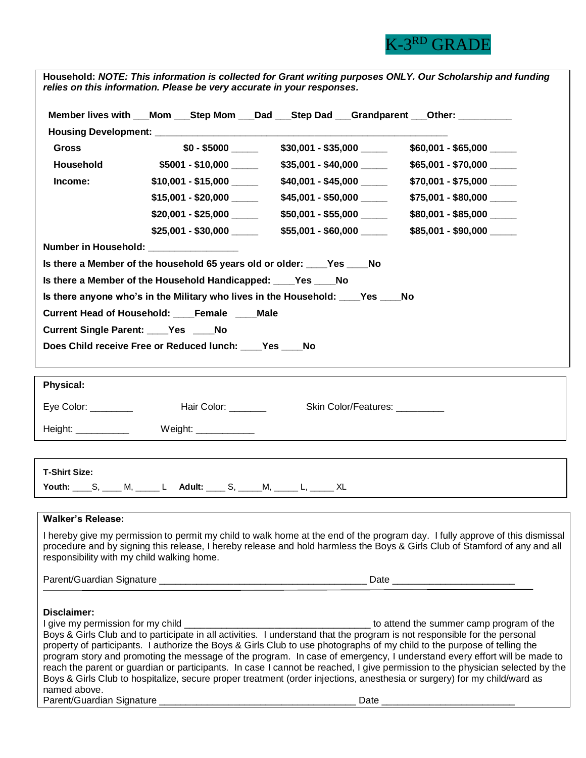

| Member lives with __Mom __Step Mom __Dad __Step Dad __Grandparent __Other: _______                                                                                                                                                                                                                                                                                                                                                                                                                                                                                                                                                                                                                                                                            |  |
|---------------------------------------------------------------------------------------------------------------------------------------------------------------------------------------------------------------------------------------------------------------------------------------------------------------------------------------------------------------------------------------------------------------------------------------------------------------------------------------------------------------------------------------------------------------------------------------------------------------------------------------------------------------------------------------------------------------------------------------------------------------|--|
|                                                                                                                                                                                                                                                                                                                                                                                                                                                                                                                                                                                                                                                                                                                                                               |  |
| <b>Gross</b><br>$$60,001 - $65,000$                                                                                                                                                                                                                                                                                                                                                                                                                                                                                                                                                                                                                                                                                                                           |  |
| $$35,001 - $40,000$<br><b>Household</b><br>\$5001 - \$10,000<br>$$65,001 - $70,000$                                                                                                                                                                                                                                                                                                                                                                                                                                                                                                                                                                                                                                                                           |  |
| $$40,001 - $45,000$<br>Income:<br>$$10,001 - $15,000$ ________<br>$$70,001 - $75,000$                                                                                                                                                                                                                                                                                                                                                                                                                                                                                                                                                                                                                                                                         |  |
| \$75,001 - \$80,000                                                                                                                                                                                                                                                                                                                                                                                                                                                                                                                                                                                                                                                                                                                                           |  |
| $$80,001 - $85,000$                                                                                                                                                                                                                                                                                                                                                                                                                                                                                                                                                                                                                                                                                                                                           |  |
| $$55,001 - $60,000$ ________<br>$$85,001 - $90,000$                                                                                                                                                                                                                                                                                                                                                                                                                                                                                                                                                                                                                                                                                                           |  |
| Number in Household: ___________________                                                                                                                                                                                                                                                                                                                                                                                                                                                                                                                                                                                                                                                                                                                      |  |
| Is there a Member of the household 65 years old or older: ____Yes ____No                                                                                                                                                                                                                                                                                                                                                                                                                                                                                                                                                                                                                                                                                      |  |
| Is there a Member of the Household Handicapped: _____ Yes _____ No                                                                                                                                                                                                                                                                                                                                                                                                                                                                                                                                                                                                                                                                                            |  |
| Is there anyone who's in the Military who lives in the Household: ____Yes ____No                                                                                                                                                                                                                                                                                                                                                                                                                                                                                                                                                                                                                                                                              |  |
| Current Head of Household: ____Female ____Male                                                                                                                                                                                                                                                                                                                                                                                                                                                                                                                                                                                                                                                                                                                |  |
| <b>Current Single Parent: Yes No</b>                                                                                                                                                                                                                                                                                                                                                                                                                                                                                                                                                                                                                                                                                                                          |  |
| Does Child receive Free or Reduced lunch: Ves<br><b>No</b>                                                                                                                                                                                                                                                                                                                                                                                                                                                                                                                                                                                                                                                                                                    |  |
|                                                                                                                                                                                                                                                                                                                                                                                                                                                                                                                                                                                                                                                                                                                                                               |  |
| <b>Physical:</b>                                                                                                                                                                                                                                                                                                                                                                                                                                                                                                                                                                                                                                                                                                                                              |  |
| Hair Color: _______<br>Eye Color: $\_\_\_\_\_\_\_\_\_\_\_\_\_$<br>Skin Color/Features: __________                                                                                                                                                                                                                                                                                                                                                                                                                                                                                                                                                                                                                                                             |  |
| Weight: $\frac{1}{2}$<br>Height: ____________                                                                                                                                                                                                                                                                                                                                                                                                                                                                                                                                                                                                                                                                                                                 |  |
|                                                                                                                                                                                                                                                                                                                                                                                                                                                                                                                                                                                                                                                                                                                                                               |  |
|                                                                                                                                                                                                                                                                                                                                                                                                                                                                                                                                                                                                                                                                                                                                                               |  |
|                                                                                                                                                                                                                                                                                                                                                                                                                                                                                                                                                                                                                                                                                                                                                               |  |
| <b>T-Shirt Size:</b>                                                                                                                                                                                                                                                                                                                                                                                                                                                                                                                                                                                                                                                                                                                                          |  |
| Youth: S, M, L Adult: S, M, L XL                                                                                                                                                                                                                                                                                                                                                                                                                                                                                                                                                                                                                                                                                                                              |  |
|                                                                                                                                                                                                                                                                                                                                                                                                                                                                                                                                                                                                                                                                                                                                                               |  |
| <b>Walker's Release:</b><br>I hereby give my permission to permit my child to walk home at the end of the program day. I fully approve of this dismissal                                                                                                                                                                                                                                                                                                                                                                                                                                                                                                                                                                                                      |  |
| procedure and by signing this release, I hereby release and hold harmless the Boys & Girls Club of Stamford of any and all<br>responsibility with my child walking home.                                                                                                                                                                                                                                                                                                                                                                                                                                                                                                                                                                                      |  |
|                                                                                                                                                                                                                                                                                                                                                                                                                                                                                                                                                                                                                                                                                                                                                               |  |
|                                                                                                                                                                                                                                                                                                                                                                                                                                                                                                                                                                                                                                                                                                                                                               |  |
| Disclaimer:<br>to attend the summer camp program of the<br>I give my permission for my child<br>Boys & Girls Club and to participate in all activities. I understand that the program is not responsible for the personal<br>property of participants. I authorize the Boys & Girls Club to use photographs of my child to the purpose of telling the<br>program story and promoting the message of the program. In case of emergency, I understand every effort will be made to<br>reach the parent or guardian or participants. In case I cannot be reached, I give permission to the physician selected by the<br>Boys & Girls Club to hospitalize, secure proper treatment (order injections, anesthesia or surgery) for my child/ward as<br>named above. |  |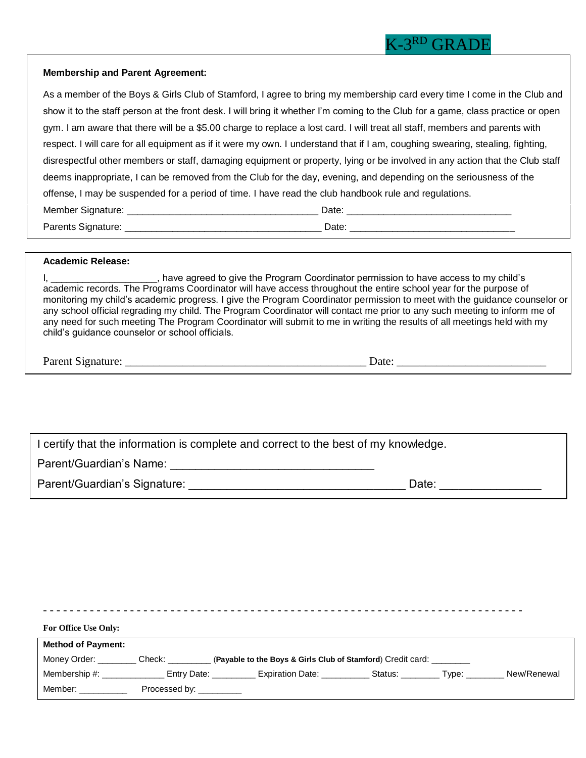### **Membership and Parent Agreement:**

| As a member of the Boys & Girls Club of Stamford, I agree to bring my membership card every time I come in the Club and          |                                                                                                                                                                                                                                |
|----------------------------------------------------------------------------------------------------------------------------------|--------------------------------------------------------------------------------------------------------------------------------------------------------------------------------------------------------------------------------|
| show it to the staff person at the front desk. I will bring it whether I'm coming to the Club for a game, class practice or open |                                                                                                                                                                                                                                |
| gym. I am aware that there will be a \$5.00 charge to replace a lost card. I will treat all staff, members and parents with      |                                                                                                                                                                                                                                |
| respect. I will care for all equipment as if it were my own. I understand that if I am, coughing swearing, stealing, fighting,   |                                                                                                                                                                                                                                |
| disrespectful other members or staff, damaging equipment or property, lying or be involved in any action that the Club staff     |                                                                                                                                                                                                                                |
| deems inappropriate, I can be removed from the Club for the day, evening, and depending on the seriousness of the                |                                                                                                                                                                                                                                |
| offense, I may be suspended for a period of time. I have read the club handbook rule and regulations.                            |                                                                                                                                                                                                                                |
|                                                                                                                                  | Date: the contract of the contract of the contract of the contract of the contract of the contract of the contract of the contract of the contract of the contract of the contract of the contract of the contract of the cont |
| Parents Signature: ___________                                                                                                   | Date: the contract of the contract of the contract of the contract of the contract of the contract of the contract of the contract of the contract of the contract of the contract of the contract of the contract of the cont |

### **Academic Release:**

| have agreed to give the Program Coordinator permission to have access to my child's                                       |
|---------------------------------------------------------------------------------------------------------------------------|
| academic records. The Programs Coordinator will have access throughout the entire school year for the purpose of          |
| monitoring my child's academic progress. I give the Program Coordinator permission to meet with the guidance counselor or |
| any school official regrading my child. The Program Coordinator will contact me prior to any such meeting to inform me of |
| any need for such meeting The Program Coordinator will submit to me in writing the results of all meetings held with my   |
| child's guidance counselor or school officials.                                                                           |

Parent Signature: \_\_\_\_\_\_\_\_\_\_\_\_\_\_\_\_\_\_\_\_\_\_\_\_\_\_\_\_\_\_\_\_\_\_\_\_\_\_\_\_\_\_ Date: \_\_\_\_\_\_\_\_\_\_\_\_\_\_\_\_\_\_\_\_\_\_\_\_\_\_

I certify that the information is complete and correct to the best of my knowledge.

Parent/Guardian's Name: \_\_\_\_\_\_\_\_\_\_\_\_\_\_\_\_\_\_\_\_\_\_\_\_\_\_\_\_\_\_\_\_

Parent/Guardian's Signature: \_\_\_\_\_\_\_\_\_\_\_\_\_\_\_\_\_\_\_\_\_\_\_\_\_\_\_\_\_\_\_\_\_\_ Date: \_\_\_\_\_\_\_\_\_\_\_\_\_\_\_\_

|                                                                                                                 |                         |  | _________________________________                           |             |
|-----------------------------------------------------------------------------------------------------------------|-------------------------|--|-------------------------------------------------------------|-------------|
| <b>For Office Use Only:</b>                                                                                     |                         |  |                                                             |             |
| <b>Method of Payment:</b>                                                                                       |                         |  |                                                             |             |
| Money Order: Check:                                                                                             |                         |  | (Payable to the Boys & Girls Club of Stamford) Credit card: |             |
| Membership $#$ :                                                                                                |                         |  | Entry Date: Expiration Date: Status: Type:                  | New/Renewal |
| Member: when the state of the state of the state of the state of the state of the state of the state of the sta | Processed by: _________ |  |                                                             |             |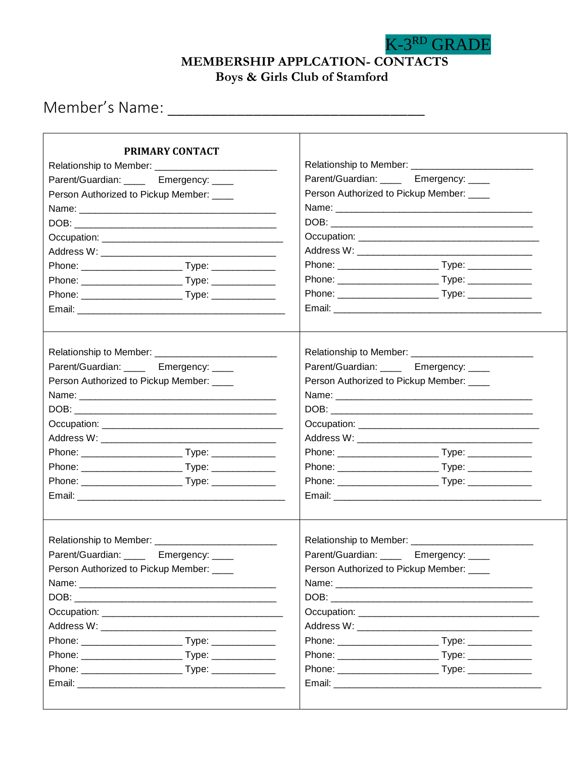**MEMBERSHIP APPLCATION- CONTACTS**

K-3RD GRADE

**Boys & Girls Club of Stamford**

Member's Name: \_\_\_\_\_\_\_\_\_\_\_\_\_\_\_\_\_\_\_\_\_\_\_\_\_\_\_\_\_\_

| PRIMARY CONTACT                                                                                                |                                                                                                                                                                                                                                |  |  |  |
|----------------------------------------------------------------------------------------------------------------|--------------------------------------------------------------------------------------------------------------------------------------------------------------------------------------------------------------------------------|--|--|--|
|                                                                                                                |                                                                                                                                                                                                                                |  |  |  |
| Parent/Guardian: _____ Emergency: ____                                                                         | Parent/Guardian: _____ Emergency: ____                                                                                                                                                                                         |  |  |  |
| Person Authorized to Pickup Member: ___                                                                        | Person Authorized to Pickup Member: ___                                                                                                                                                                                        |  |  |  |
|                                                                                                                |                                                                                                                                                                                                                                |  |  |  |
|                                                                                                                |                                                                                                                                                                                                                                |  |  |  |
|                                                                                                                |                                                                                                                                                                                                                                |  |  |  |
|                                                                                                                |                                                                                                                                                                                                                                |  |  |  |
|                                                                                                                |                                                                                                                                                                                                                                |  |  |  |
|                                                                                                                |                                                                                                                                                                                                                                |  |  |  |
|                                                                                                                |                                                                                                                                                                                                                                |  |  |  |
|                                                                                                                |                                                                                                                                                                                                                                |  |  |  |
|                                                                                                                |                                                                                                                                                                                                                                |  |  |  |
| Parent/Guardian: _____ Emergency: ____                                                                         | Parent/Guardian: _____ Emergency: ____                                                                                                                                                                                         |  |  |  |
| Person Authorized to Pickup Member: ____                                                                       | Person Authorized to Pickup Member: ___                                                                                                                                                                                        |  |  |  |
| Name: 2008 2009 2010 2021 2022 2023 2024 2022 2023 2024 2022 2023 2024 2022 2023 2024 2022 2023 2024 2022 2023 | Name: 2008 - 2008 - 2008 - 2008 - 2010 - 2010 - 2010 - 2010 - 2010 - 2010 - 2010 - 2010 - 2010 - 2010 - 2010 - 2010 - 2010 - 2010 - 2010 - 2010 - 2010 - 2010 - 2010 - 2010 - 2010 - 2010 - 2010 - 2010 - 2010 - 2010 - 2010 - |  |  |  |
|                                                                                                                |                                                                                                                                                                                                                                |  |  |  |
|                                                                                                                |                                                                                                                                                                                                                                |  |  |  |
|                                                                                                                |                                                                                                                                                                                                                                |  |  |  |
|                                                                                                                |                                                                                                                                                                                                                                |  |  |  |
|                                                                                                                |                                                                                                                                                                                                                                |  |  |  |
|                                                                                                                |                                                                                                                                                                                                                                |  |  |  |
|                                                                                                                |                                                                                                                                                                                                                                |  |  |  |
| Relationship to Member: __________________                                                                     | Relationship to Member: ______________                                                                                                                                                                                         |  |  |  |
| Parent/Guardian: _____ Emergency: ____                                                                         | Parent/Guardian: ____ Emergency: ___                                                                                                                                                                                           |  |  |  |
| Person Authorized to Pickup Member: ____                                                                       | Person Authorized to Pickup Member: ___                                                                                                                                                                                        |  |  |  |
| Name:                                                                                                          |                                                                                                                                                                                                                                |  |  |  |
|                                                                                                                |                                                                                                                                                                                                                                |  |  |  |
|                                                                                                                |                                                                                                                                                                                                                                |  |  |  |
|                                                                                                                |                                                                                                                                                                                                                                |  |  |  |
|                                                                                                                |                                                                                                                                                                                                                                |  |  |  |
|                                                                                                                |                                                                                                                                                                                                                                |  |  |  |
|                                                                                                                |                                                                                                                                                                                                                                |  |  |  |
|                                                                                                                |                                                                                                                                                                                                                                |  |  |  |
|                                                                                                                |                                                                                                                                                                                                                                |  |  |  |